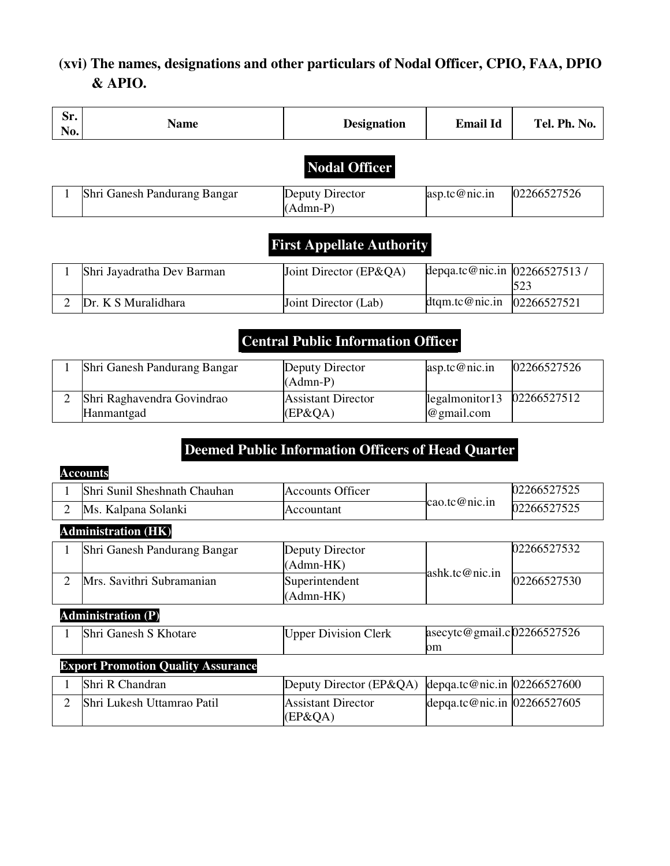# **(xvi) The names, designations and other particulars of Nodal Officer, CPIO, FAA, DPIO & APIO.**

| Sr.<br>No.                       | <b>Name</b>                  | <b>Designation</b>            | <b>Email Id</b>              | Tel. Ph. No. |  |
|----------------------------------|------------------------------|-------------------------------|------------------------------|--------------|--|
| <b>Nodal Officer</b>             |                              |                               |                              |              |  |
|                                  | Shri Ganesh Pandurang Bangar | Deputy Director<br>$(Admn-P)$ | asp.tc@nic.in                | 02266527526  |  |
| <b>First Appellate Authority</b> |                              |                               |                              |              |  |
|                                  | Shri Jayadratha Dev Barman   | Joint Director (EP&QA)        | depqa.tc@nic.in 02266527513/ | 523          |  |
| $\overline{2}$                   | Dr. K S Muralidhara          | Joint Director (Lab)          | dtqm.tc@nic.in               | 02266527521  |  |

# **Central Public Information Officer**

| Shri Ganesh Pandurang Bangar             | Deputy Director<br>$(Admn-P)$           | $\text{asp.tc@nic.in}$                       | 02266527526 |
|------------------------------------------|-----------------------------------------|----------------------------------------------|-------------|
| Shri Raghavendra Govindrao<br>Hanmantgad | <b>Assistant Director</b><br>$(EP\&OA)$ | $\log$ almonitor13 02266527512<br>@gmail.com |             |

# **Deemed Public Information Officers of Head Quarter**

|                | <b>Accounts</b>                           |                                      |                                     |             |  |  |
|----------------|-------------------------------------------|--------------------------------------|-------------------------------------|-------------|--|--|
|                | Shri Sunil Sheshnath Chauhan              | <b>Accounts Officer</b>              |                                     | 02266527525 |  |  |
| $\overline{2}$ | Ms. Kalpana Solanki                       | Accountant                           | cao.tc@nic.in                       | 02266527525 |  |  |
|                | <b>Administration (HK)</b>                |                                      |                                     |             |  |  |
|                | Shri Ganesh Pandurang Bangar              | Deputy Director<br>(Admn-HK)         |                                     | 02266527532 |  |  |
| 2              | Mrs. Savithri Subramanian                 | Superintendent<br>$(Admn-HK)$        | ashk.tc@nic.in                      | 02266527530 |  |  |
|                | <b>Administration (P)</b>                 |                                      |                                     |             |  |  |
|                | Shri Ganesh S Khotare                     | <b>Upper Division Clerk</b>          | asecytc@gmail.c $02266527526$<br>om |             |  |  |
|                | <b>Export Promotion Quality Assurance</b> |                                      |                                     |             |  |  |
|                | Shri R Chandran                           | Deputy Director (EP&QA)              | depqa.tc@nic.in $ 02266527600$      |             |  |  |
| 2              | <b>Shri Lukesh Uttamrao Patil</b>         | <b>Assistant Director</b><br>(EP&QA) | depqa.tc@nic.in 02266527605         |             |  |  |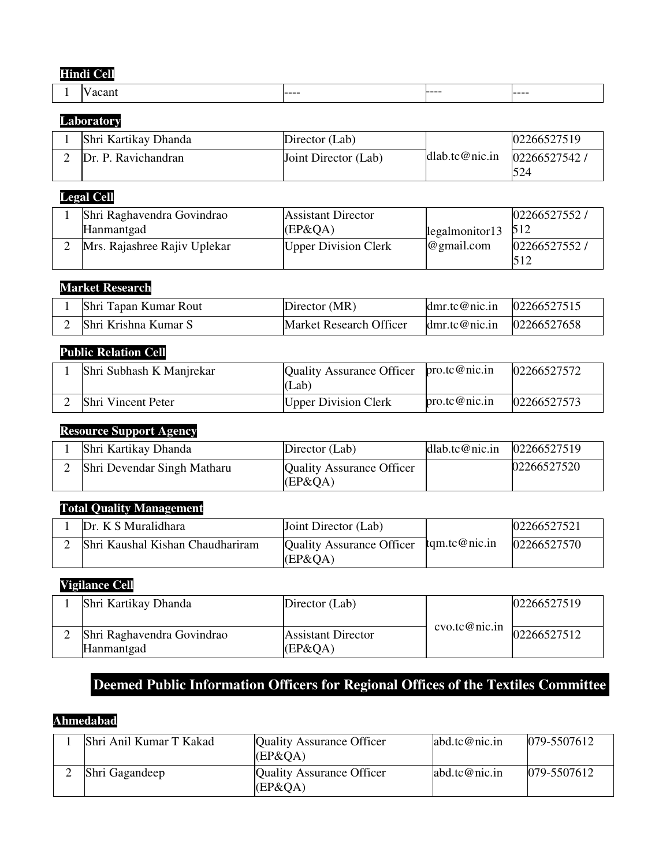### **Hindi Cell**

| $ -$ | -----<br>---- | -----<br>___ | -----<br>---- |  |
|------|---------------|--------------|---------------|--|

#### **Laboratory**

| Shri Kartikay Dhanda | Director (Lab)       | dlab.tc@nic.in | 02266527519         |
|----------------------|----------------------|----------------|---------------------|
| Dr. P. Ravichandran  | Joint Director (Lab) |                | 02266527542,<br>524 |

# **Legal Cell**

| Shri Raghavendra Govindrao   | <b>Assistant Director</b>   |                        | 02266527552/ |  |  |
|------------------------------|-----------------------------|------------------------|--------------|--|--|
| Hanmantgad                   | $EP\&OA)$                   | $\log$ almonitor13 512 |              |  |  |
| Mrs. Rajashree Rajiv Uplekar | <b>Upper Division Clerk</b> | $@$ gmail.com          | 02266527552/ |  |  |

# **Market Research**

| Shri Tapan Kumar Rout | Director (MR)           | dmr.tc@nic.in $ 02266527515 $ |  |
|-----------------------|-------------------------|-------------------------------|--|
| Shri Krishna Kumar S  | Market Research Officer | dmr.tc@nic.in $02266527658$   |  |

### **Public Relation Cell**

| Shri Subhash K Manjrekar | Quality Assurance Officer $pro. t c @ nic.in$<br>(Lab) |               | 02266527572 |
|--------------------------|--------------------------------------------------------|---------------|-------------|
| Shri Vincent Peter       | <b>Upper Division Clerk</b>                            | pro.tc@nic.in | 02266527573 |

### **Resource Support Agency**

| Shri Kartikay Dhanda          | Director (Lab)                                 | dlab.tc@nic.in | 02266527519 |
|-------------------------------|------------------------------------------------|----------------|-------------|
| 2 Shri Devendar Singh Matharu | <b>Quality Assurance Officer</b><br>$(EP\&OA)$ |                | 02266527520 |

# **Total Quality Management**

| Dr. K S Muralidhara              | Joint Director (Lab)                    |               | 02266527521 |
|----------------------------------|-----------------------------------------|---------------|-------------|
| Shri Kaushal Kishan Chaudhariram | Quality Assurance Officer<br>$(EP\&OA)$ | tqm.tc@nic.in | 02266527570 |

#### **Vigilance Cell**

| Shri Kartikay Dhanda                     | Director (Lab)                          |               | 02266527519 |
|------------------------------------------|-----------------------------------------|---------------|-------------|
| Shri Raghavendra Govindrao<br>Hanmantgad | <b>Assistant Director</b><br>$(EP\&OA)$ | cvo.tc@nic.in | 02266527512 |

# **Deemed Public Information Officers for Regional Offices of the Textiles Committee**

### **Ahmedabad**

| Shri Anil Kumar T Kakad | <b>Quality Assurance Officer</b><br>(EP&OA)   | abd.tc@nic.in    | $ 079 - 5507612 $ |
|-------------------------|-----------------------------------------------|------------------|-------------------|
| Shri Gagandeep          | <b>Quality Assurance Officer</b><br>$EP\&OA)$ | $abd.$ tc@nic.in | 079-5507612       |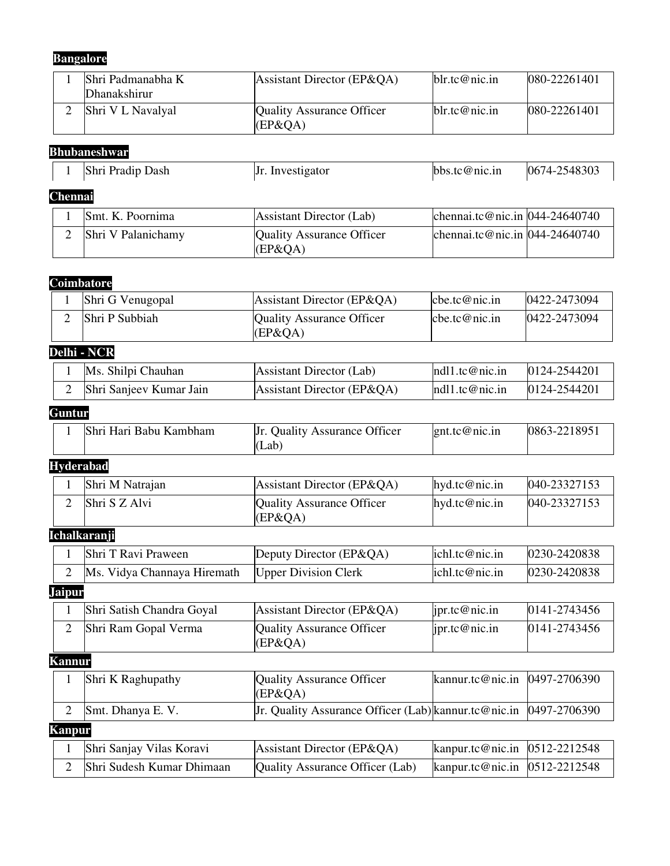# **Bangalore**

| Shri Padmanabha K<br><b>Dhanakshirur</b> | Assistant Director ( $E P \& Q A$ )   | blr.tc@nic.in | 080-22261401      |
|------------------------------------------|---------------------------------------|---------------|-------------------|
| Shri V L Navalyal                        | Quality Assurance Officer<br>$EP\&OA$ | blr.tc@nic.in | $ 080 - 22261401$ |

# **Bhubaneshwar**

|                | Shri Pradip Dash   | Jr. Investigator                              | bbs.tc@nic.in                      | 0674-2548303 |  |
|----------------|--------------------|-----------------------------------------------|------------------------------------|--------------|--|
| <b>Chennai</b> |                    |                                               |                                    |              |  |
|                | Smt. K. Poornima   | Assistant Director (Lab)                      | chennai.tc@nic.in $[044-24640740]$ |              |  |
|                | Shri V Palanichamy | <b>Quality Assurance Officer</b><br>$EP\&QA)$ | chennai.tc@nic.in $[044-24640740]$ |              |  |

## **Coimbatore**

| Shri G Venugopal      | Assistant Director (EP&QA)                    | cbe.tc@nic.in             | 0422-2473094 |
|-----------------------|-----------------------------------------------|---------------------------|--------------|
| <b>Shri P Subbiah</b> | <b>Quality Assurance Officer</b><br>$EP\&OA)$ | $\mathbb{C}$ be.tc@nic.in | 0422-2473094 |

# **Delhi - NCR**

| Ms. Shilpi Chauhan      | Assistant Director (Lab)   | nd11.tc@nic.in | 0124-2544201 |
|-------------------------|----------------------------|----------------|--------------|
| Shri Sanjeev Kumar Jain | Assistant Director (EP&QA) | ndl1.tc@nic.in | 0124-2544201 |

# **Guntur**

# **Hyderabad**

| Shri M Natrajan | Assistant Director (EP&QA)             | hyd.tc@nic.in | 040-23327153 |
|-----------------|----------------------------------------|---------------|--------------|
| Shri S Z Alvi   | Quality Assurance Officer<br>$EP\&OA)$ | hvd.tc@nic.in | 040-23327153 |

## **Ichalkaranji**

|  | Ms. Vidya Channaya Hiremath   Upper Division Clerk |                                  | ichl.tc@nic.in | 0230-2420838 |
|--|----------------------------------------------------|----------------------------------|----------------|--------------|
|  | Shri T Ravi Praween                                | Deputy Director ( $E P \& Q A$ ) | lich.tc@nic.in | 0230-2420838 |

#### **Jaipur**

|  | Shri Satish Chandra Goyal | Assistant Director (EP&QA)             | $\vert$ ipr.tc@nic.in | 0141-2743456 |
|--|---------------------------|----------------------------------------|-----------------------|--------------|
|  | Shri Ram Gopal Verma      | Quality Assurance Officer<br>$EP\&OA)$ | $\vert$ ipr.tc@nic.in | 0141-2743456 |

### **Kannur**

|               | Shri K Raghupathy         | Quality Assurance Officer                                           | kannur.tc@nic.in $ 0497-2706390$  |  |  |  |
|---------------|---------------------------|---------------------------------------------------------------------|-----------------------------------|--|--|--|
|               |                           | $EP\&OA)$                                                           |                                   |  |  |  |
|               | Smt. Dhanya E.V.          | Jr. Quality Assurance Officer (Lab) kannur.tc@nic.in   0497-2706390 |                                   |  |  |  |
| <b>Kanpur</b> |                           |                                                                     |                                   |  |  |  |
|               | Shri Sanjay Vilas Koravi  | Assistant Director (EP&QA)                                          | kanpur.tc@nic.in $ 0512-2212548 $ |  |  |  |
|               | Shri Sudesh Kumar Dhimaan | Quality Assurance Officer (Lab)                                     | kanpur.tc@nic.in $ 0512-2212548 $ |  |  |  |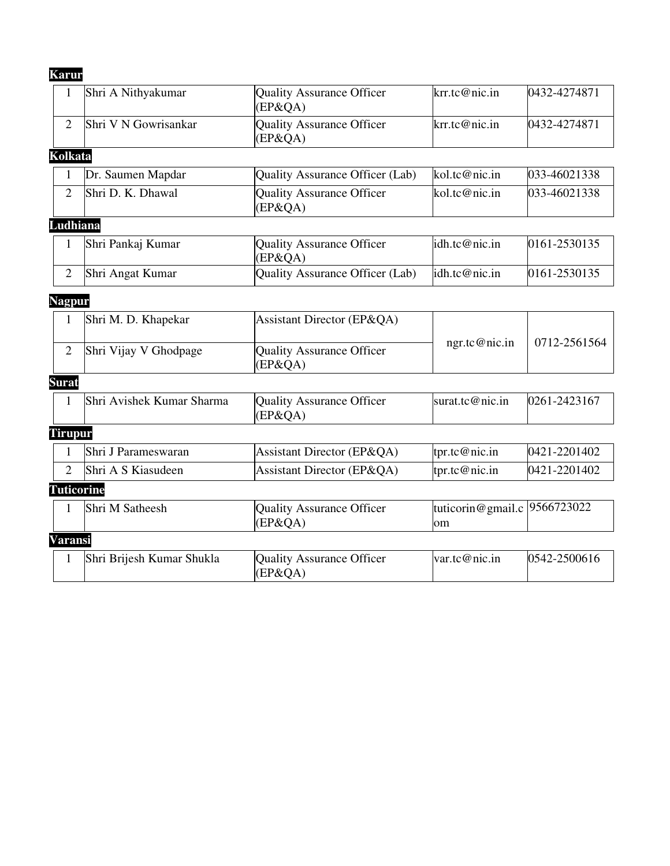# **Karur**

| 1                 | Shri A Nithyakumar        | <b>Quality Assurance Officer</b><br>$(EP\&QA)$ | krr.tc@nic.in                      | 0432-4274871 |
|-------------------|---------------------------|------------------------------------------------|------------------------------------|--------------|
| $\overline{2}$    | Shri V N Gowrisankar      | <b>Quality Assurance Officer</b><br>$(EP\&QA)$ | krr.tc@nic.in                      | 0432-4274871 |
| Kolkata           |                           |                                                |                                    |              |
| $\mathbf{1}$      | Dr. Saumen Mapdar         | <b>Quality Assurance Officer (Lab)</b>         | kol.tc@nic.in                      | 033-46021338 |
| $\overline{2}$    | Shri D. K. Dhawal         | <b>Quality Assurance Officer</b><br>(EP&QA)    | kol.tc@nic.in                      | 033-46021338 |
| Ludhiana          |                           |                                                |                                    |              |
| $\mathbf{1}$      | Shri Pankaj Kumar         | <b>Quality Assurance Officer</b><br>(EP&QA)    | idh.tc@nic.in                      | 0161-2530135 |
| $\overline{2}$    | Shri Angat Kumar          | <b>Quality Assurance Officer (Lab)</b>         | idh.tc@nic.in                      | 0161-2530135 |
| <b>Nagpur</b>     |                           |                                                |                                    |              |
| 1                 | Shri M. D. Khapekar       | Assistant Director (EP&QA)                     |                                    |              |
| $\overline{2}$    | Shri Vijay V Ghodpage     | <b>Quality Assurance Officer</b><br>(EP&QA)    | ngr.tc@nic.in                      | 0712-2561564 |
| Surat             |                           |                                                |                                    |              |
| $\mathbf{1}$      | Shri Avishek Kumar Sharma | <b>Quality Assurance Officer</b><br>$(EP\&QA)$ | surat.tc@nic.in                    | 0261-2423167 |
| Tirupur           |                           |                                                |                                    |              |
| $\mathbf{1}$      | Shri J Parameswaran       | Assistant Director (EP&QA)                     | tpr.tc@nic.in                      | 0421-2201402 |
| $\overline{2}$    | Shri A S Kiasudeen        | Assistant Director (EP&QA)                     | tpr.tc@nic.in                      | 0421-2201402 |
| <b>Tuticorine</b> |                           |                                                |                                    |              |
| $\mathbf{1}$      | Shri M Satheesh           | <b>Quality Assurance Officer</b><br>$(EP\&QA)$ | tuticorin@gmail.c 9566723022<br>om |              |
| Varansi           |                           |                                                |                                    |              |
| 1                 | Shri Brijesh Kumar Shukla | <b>Quality Assurance Officer</b><br>(EP&QA)    | var.tc@nic.in                      | 0542-2500616 |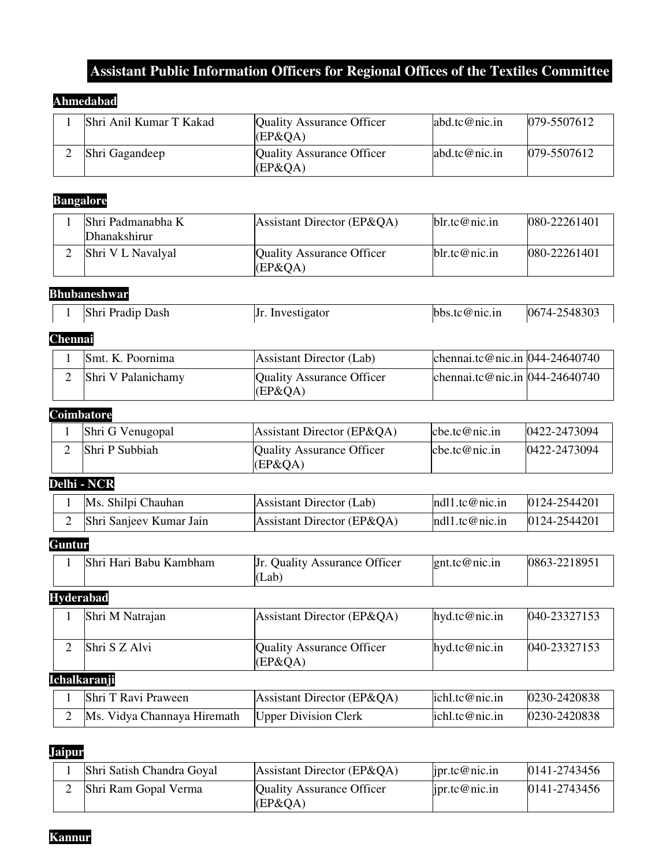# **Assistant Public Information Officers for Regional Offices of the Textiles Committee**

### **Ahmedabad**

| Shri Anil Kumar T Kakad | Quality Assurance Officer<br>(EP&OA)        | $abd.$ tc@nic.in | $ 079 - 5507612 $ |
|-------------------------|---------------------------------------------|------------------|-------------------|
| Shri Gagandeep          | <b>Quality Assurance Officer</b><br>(EP&QA) | $abd.$ tc@nic.in | $ 079 - 5507612 $ |

# **Bangalore**

| Shri Padmanabha K<br>Dhanakshirur | Assistant Director (EP&QA)            | blr.tc@nic.in | 080-22261401 |
|-----------------------------------|---------------------------------------|---------------|--------------|
| Shri V L Navalyal                 | Quality Assurance Officer<br>$EP\&OA$ | blr.tc@nic.in | 080-22261401 |

### **Bhubaneshwar**

|                | Shri Pradip Dash | Jr. Investigator | bbs.tc@nic.in | 0674-2548303 |
|----------------|------------------|------------------|---------------|--------------|
| <b>Chennai</b> |                  |                  |               |              |

| Smt. K. Poornima   | Assistant Director (Lab)             | chennai.tc@nic.in $[044-24640740]$ |  |
|--------------------|--------------------------------------|------------------------------------|--|
| Shri V Palanichamy | Quality Assurance Officer<br>(EP&QA) | chennai.tc@nic.in $[044-24640740]$ |  |

### **Coimbatore**

| Shri G Venugopal | Assistant Director (EP&QA)              | [che.tc@nic.in]        | $ 0422 - 2473094 $ |
|------------------|-----------------------------------------|------------------------|--------------------|
| Shri P Subbiah   | Quality Assurance Officer<br>$(EP\&OA)$ | $\text{cbe.tc@nic.in}$ | 0422-2473094       |

# **Delhi - NCR**

| Ms. Shilpi Chauhan      | Assistant Director (Lab)   | nd11.tc@nic.in | 0124-2544201 |
|-------------------------|----------------------------|----------------|--------------|
| Shri Sanjeev Kumar Jain | Assistant Director (EP&QA) | ndl1.tc@nic.in | 0124-2544201 |

### **Guntur**

| Shri Hari Babu Kambham | <b>Ouality Assurance Officer</b><br>Jr. | $l$ gnt.tc@nic.in | 0863-2218951 |
|------------------------|-----------------------------------------|-------------------|--------------|
|                        | ⊥ab`                                    |                   |              |

## **Hyderabad**

| Shri M Natrajan | Assistant Director (EP&QA)                    | hyd.tc@nic.in | 040-23327153       |  |  |
|-----------------|-----------------------------------------------|---------------|--------------------|--|--|
| Shri S Z Alvi   | <b>Quality Assurance Officer</b><br>$EP\&OA)$ | hyd.tc@nic.in | $[040 - 23327153]$ |  |  |
| Ichalkaranji    |                                               |               |                    |  |  |

| Shri T Ravi Praween         | Assistant Director (EP&QA)  | ichl.tc@nic.in | $ 0230 - 2420838 $ |
|-----------------------------|-----------------------------|----------------|--------------------|
| Ms. Vidya Channaya Hiremath | <b>Upper Division Clerk</b> | ichl.tc@nic.in | $ 0230 - 2420838$  |

#### **Jaipur**

| Shri Satish Chandra Goyal | Assistant Director ( $E P \& Q A$ )           | $\vert$ ipr.tc@nic.in | 0141-2743456 |
|---------------------------|-----------------------------------------------|-----------------------|--------------|
| Shri Ram Gopal Verma      | <b>Quality Assurance Officer</b><br>$EP\&OA)$ | ipr.tc@nic.in         | 0141-2743456 |

**Kannur**